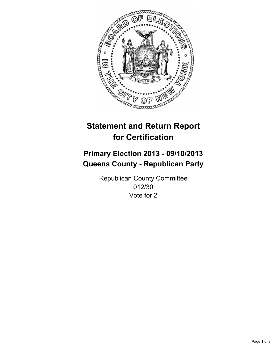

# **Statement and Return Report for Certification**

# **Primary Election 2013 - 09/10/2013 Queens County - Republican Party**

Republican County Committee 012/30 Vote for 2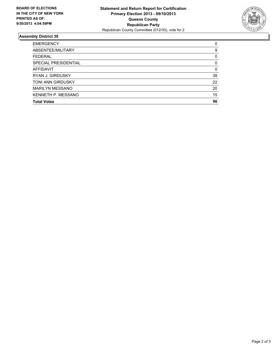

## **Assembly District 30**

| <b>EMERGENCY</b>        | 0        |
|-------------------------|----------|
| ABSENTEE/MILITARY       | 9        |
| <b>FEDERAL</b>          | 0        |
| SPECIAL PRESIDENTIAL    | $\Omega$ |
| <b>AFFIDAVIT</b>        | 0        |
| <b>RYAN J. GIRDUSKY</b> | 39       |
| TONI ANN GIRDUSKY       | 22       |
| <b>MARILYN MESSANO</b>  | 20       |
| KENNETH P. MESSANO      | 15       |
| <b>Total Votes</b>      | 96       |